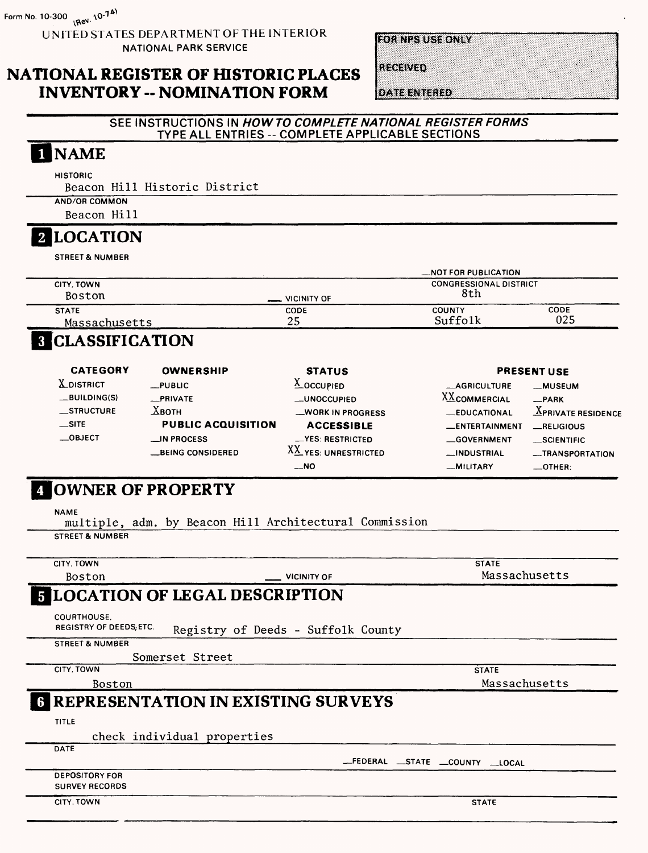UNITED STATES DEPARTMENT OF THE INTERIOR NATIONAL PARK SERVICE

**HORNES USE ONLY** 

RECEIVED

**NATIONAL REGISTER OF HISTORIC PLACES INVENTORY -- NOMINATION FORM** 

**DATE ENTERED** 

#### SEE INSTRUCTIONS IN HOW TO COMPLETE NATIONAL REGISTER FORMS TYPE ALL ENTRIES -- COMPLETE APPLICABLE SECTIONS

## 1 NAME

**HISTORIC** 

Beacon Hill Historic District

AND/OR COMMON

Beacon Hill

#### **2 LOCATION**

STREET & NUMBER

|                             | _NOT FOR PUBLICATION |                               |      |  |  |
|-----------------------------|----------------------|-------------------------------|------|--|--|
| CITY, TOWN<br><b>Boston</b> | VICINITY OF          | <b>CONGRESSIONAL DISTRICT</b> |      |  |  |
| <b>STATE</b>                | CODE                 | COUNTY                        | CODE |  |  |
| Massachusetts               | 25                   | Suffolk                       | 025  |  |  |
|                             |                      |                               |      |  |  |

#### **8 CLASSIFICATION**

| <b>CATEGORY</b><br><b>OWNERSHIP</b> |                           | <b>STATUS</b>        |                      | <b>PRESENT USE</b>         |  |  |  |
|-------------------------------------|---------------------------|----------------------|----------------------|----------------------------|--|--|--|
| <b>X</b> DISTRICT                   | $_{\text{-}}$ PUBLIC      | $\triangle$ OCCUPIED | <b>__AGRICULTURE</b> | <b>_MUSEUM</b>             |  |  |  |
| $-BULDING(S)$                       | _PRIVATE                  | -UNOCCUPIED          | <b>XXCOMMERCIAL</b>  | $-$ PARK                   |  |  |  |
| $\equiv$ STRUCTURE                  | $X$ вотн                  | -WORK IN PROGRESS    | <b>EDUCATIONAL</b>   | $\Delta$ PRIVATE RESIDENCE |  |  |  |
| $\equiv$ SITE                       | <b>PUBLIC ACQUISITION</b> | <b>ACCESSIBLE</b>    | _ENTERTAINMENT       | RELIGIOUS                  |  |  |  |
| $\equiv$ OBJECT                     | $\equiv$ IN PROCESS       | -YES: RESTRICTED     | <b>GOVERNMENT</b>    | $\equiv$ SCIENTIFIC        |  |  |  |
|                                     | <b>BEING CONSIDERED</b>   | XX YES: UNRESTRICTED | _INDUSTRIAL          | -TRANSPORTATION            |  |  |  |
|                                     |                           | $-$ NO               | -MILITARY            | $\equiv$ OTHER:            |  |  |  |

#### [OWNER OF PROPERTY

NAME

multiple, adm. by Beacon Hill Architectural Commission STREET & NUMBER

| <b>CITY, TOWN</b>                              |                                             | <b>STATE</b>                |
|------------------------------------------------|---------------------------------------------|-----------------------------|
| Boston                                         | <b>VICINITY OF</b>                          | Massachusetts               |
|                                                | <b>5 LOCATION OF LEGAL DESCRIPTION</b>      |                             |
| COURTHOUSE.<br><b>REGISTRY OF DEEDS, ETC.</b>  | Registry of Deeds - Suffolk County          |                             |
| <b>STREET &amp; NUMBER</b>                     |                                             |                             |
|                                                | Somerset Street                             |                             |
| CITY, TOWN                                     |                                             | <b>STATE</b>                |
| Boston                                         |                                             | Massachusetts               |
|                                                | <b>6 REPRESENTATION IN EXISTING SURVEYS</b> |                             |
| <b>TITLE</b>                                   |                                             |                             |
|                                                | check individual properties                 |                             |
| DATE                                           |                                             |                             |
|                                                |                                             | -FEDERAL STATE COUNTY LOCAL |
| <b>DEPOSITORY FOR</b><br><b>SURVEY RECORDS</b> |                                             |                             |
| CITY. TOWN                                     |                                             | <b>STATE</b>                |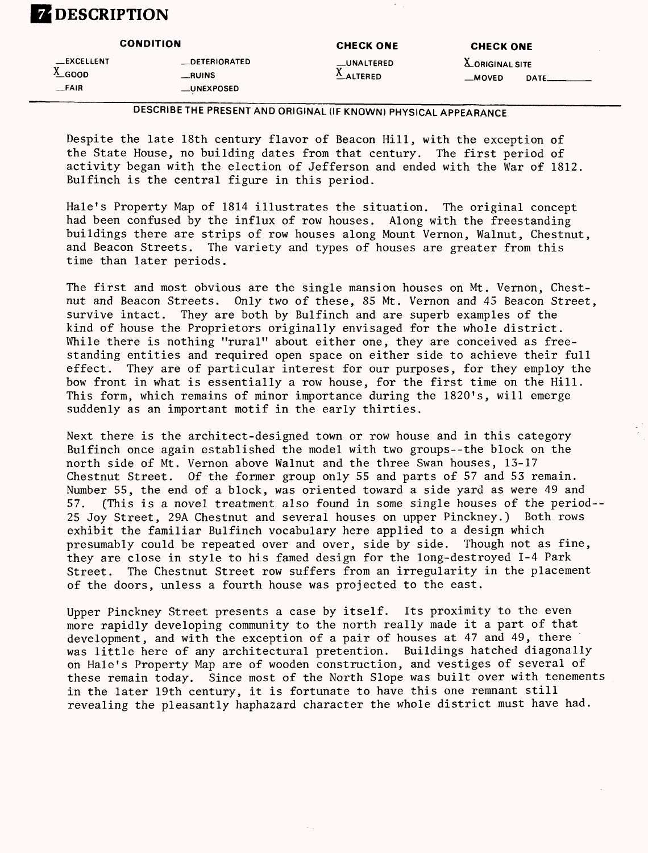## **DESCRIPTION**

|                                             | <b>CONDITION</b>                                      | <b>CHECK ONE</b>                    | <b>CHECK ONE</b> | <b>LORIGINAL SITE</b><br>$-MOVED$<br><b>DATE</b> |
|---------------------------------------------|-------------------------------------------------------|-------------------------------------|------------------|--------------------------------------------------|
| <b>__EXCELLENT</b><br>$^4$ GOOD<br>$-$ FAIR | _DETERIORATED<br>__RUINS<br>$_{\_\_\text{UNEXPOSED}}$ | __UNALTERED<br>$^{\Lambda}$ ALTERED |                  |                                                  |

#### **DESCRIBE THE PRESENT AND ORIGINAL (IF KNOWN) PHYSICAL APPEARANCE**

Despite the late 18th century flavor of Beacon Hill, with the exception of the State House, no building dates from that century. The first period of activity began with the election of Jefferson and ended with the War of 1812. Bulfinch is the central figure in this period.

Hale's Property Map of 1814 illustrates the situation. The original concept had been confused by the influx of row houses. Along with the freestanding buildings there are strips of row houses along Mount Vernon, Walnut, Chestnut, and Beacon Streets. The variety and types of houses are greater from this time than later periods.

The first and most obvious are the single mansion houses on Mt. Vernon, Chestnut and Beacon Streets. Only two of these, 85 Mt. Vernon and 45 Beacon Street, survive intact. They are both by Bulfinch and are superb examples of the kind of house the Proprietors originally envisaged for the whole district. While there is nothing "rural" about either one, they are conceived as freestanding entities and required open space on either side to achieve their full effect. They are of particular interest for our purposes, for they employ the bow front in what is essentially a row house, for the first time on the Hill. This form, which remains of minor importance during the 1820's, will emerge suddenly as an important motif in the early thirties.

Next there is the architect-designed town or row house and in this category Bulfinch once again established the model with two groups--the block on the north side of Mt. Vernon above Walnut and the three Swan houses, 13-17 Chestnut Street. Of the former group only 55 and parts of 57 and 53 remain. Number 55, the end of a block, was oriented toward a side yard as were 49 and 57. (This is a novel treatment also found in some single houses of the period-- 25 Joy Street, 29A Chestnut and several houses on upper Pinckney.) Both rows exhibit the familiar Bulfinch vocabulary here applied to a design which presumably could be repeated over and over, side by side. Though not as fine, they are close in style to his famed design for the long-destroyed 1-4 Park Street. The Chestnut Street row suffers from an irregularity in the placement of the doors, unless a fourth house was projected to the east.

Upper Pinckney Street presents a case by itself. Its proximity to the even more rapidly developing community to the north really made it a part of that development, and with the exception of a pair of houses at 47 and 49, there was little here of any architectural pretention. Buildings hatched diagonally on Hale's Property Map are of wooden construction, and vestiges of several of these remain today. Since most of the North Slope was built over with tenements in the later 19th century, it is fortunate to have this one remnant still revealing the pleasantly haphazard character the whole district must have had.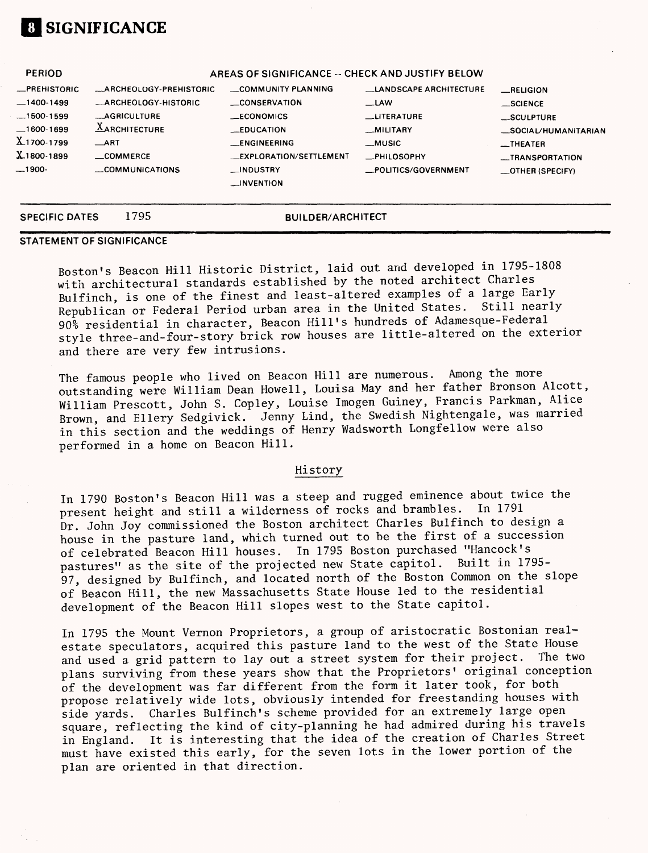## **01 SIGNIFICANCE**

| <b>SPECIFIC DATES</b> | 1795                           | <b>BUILDER/ARCHITECT</b>                         |                               |                         |
|-----------------------|--------------------------------|--------------------------------------------------|-------------------------------|-------------------------|
|                       |                                | <b>LINVENTION</b>                                |                               |                         |
| $-1900-$              | COMMUNICATIONS                 | __INDUSTRY                                       | POLITICS/GOVERNMENT           | _OTHER (SPECIFY)        |
| $X_{.1800-1899}$      | $\equiv$ COMMERCE              | <b>LEXPLORATION/SETTLEMENT</b>                   | <b>_PHILOSOPHY</b>            | <b>__TRANSPORTATION</b> |
| X1700-1799            | $\_$ ART                       | <b>LENGINEERING</b>                              | __MUSIC                       | $-$ THEATER             |
| $-1600-1699$          | $A$ ARCHITECTURE               | <b>EDUCATION</b>                                 | <b>MILITARY</b>               | SOCIAL/HUMANITARIAN     |
| $-1500-1599$          | <b>MAGRICULTURE</b>            | $\_ECONOMICS$                                    | <b>LITERATURE</b>             | $$ SCULPTURE            |
| $-1400-1499$          | <b>_ARCHEOLOGY-HISTORIC</b>    | <b>CONSERVATION</b>                              | $-LAW$                        | __SCIENCE               |
| <b>_PREHISTORIC</b>   | <b>MARCHEOLOGY-PREHISTORIC</b> | COMMUNITY PLANNING                               | <b>LANDSCAPE ARCHITECTURE</b> | RELIGION                |
| <b>PERIOD</b>         |                                | AREAS OF SIGNIFICANCE -- CHECK AND JUSTIFY BELOW |                               |                         |

#### **STATEMENT OF SIGNIFICANCE**

Boston's Beacon Hill Historic District, laid out and developed in 1795-1808 with architectural standards established by the noted architect Charles Bulfinch, is one of the finest and least-altered examples of a large Early Republican or Federal Period urban area in the United States. Still nearly 90% residential in character, Beacon Hill's hundreds of Adamesque-Federal style three-and-four-story brick row houses are little-altered on the exterior and there are very few intrusions.

The famous people who lived on Beacon Hill are numerous. Among the more outstanding were William Dean Howell, Louisa May and her father Bronson Alcott, William Prescott, John S. Copley, Louise Imogen Guiney, Francis Parkman, Alice Brown, and Ellery Sedgivick. Jenny Lind, the Swedish Nightengale, was married in this section and the weddings of Henry Wadsworth Longfellow were also performed in a home on Beacon Hill.

#### History

In 1790 Boston's Beacon Hill was a steep and rugged eminence about twice the present height and still a wilderness of rocks and brambles. In 1791 Dr. John Joy commissioned the Boston architect Charles Bulfinch to design a house in the pasture land, which turned out to be the first of a succession of celebrated Beacon Hill houses. In 1795 Boston purchased "Hancock's<br>pastures" as the site of the projected new State capitol. Built in 1795pastures" as the site of the projected new State capitol. 97, designed by Bulfinch, and located north of the Boston Common on the slope of Beacon Hill, the new Massachusetts State House led to the residential development of the Beacon Hill slopes west to the State capitol.

In 1795 the Mount Vernon Proprietors, a group of aristocratic Bostonian realestate speculators, acquired this pasture land to the west of the State House and used a grid pattern to lay out a street system for their project. The two plans surviving from these years show that the Proprietors' original conception of the development was far different from the form it later took, for both propose relatively wide lots, obviously intended for freestanding houses with side yards. Charles Bulfinch's scheme provided for an extremely large open square, reflecting the kind of city-planning he had admired during his travels in England. It is interesting that the idea of the creation of Charles Street must have existed this early, for the seven lots in the lower portion of the plan are oriented in that direction.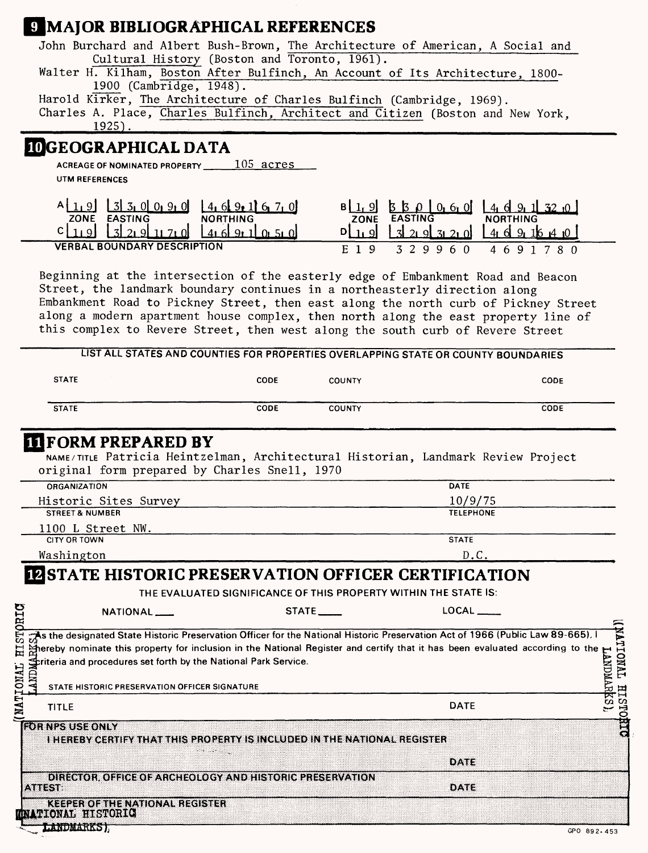# **ELMAIOR BIBLIOGRAPHICAL REFERENCES**

| John Burchard and Albert Bush-Brown, The Architecture of American, A Social and                                                                                                                 |                                              |                                                                  |                                                            |                              |
|-------------------------------------------------------------------------------------------------------------------------------------------------------------------------------------------------|----------------------------------------------|------------------------------------------------------------------|------------------------------------------------------------|------------------------------|
| Walter H. Kilham, Boston After Bulfinch, An Account of Its Architecture, 1800-                                                                                                                  | Cultural History (Boston and Toronto, 1961). |                                                                  |                                                            |                              |
| 1900 (Cambridge, 1948).                                                                                                                                                                         |                                              |                                                                  |                                                            |                              |
| Harold Kirker, The Architecture of Charles Bulfinch (Cambridge, 1969).                                                                                                                          |                                              |                                                                  |                                                            |                              |
| Charles A. Place, Charles Bulfinch, Architect and Citizen (Boston and New York,<br>$1925$ .                                                                                                     |                                              |                                                                  |                                                            |                              |
| <b>IDGEOGRAPHICAL DATA</b>                                                                                                                                                                      |                                              |                                                                  |                                                            |                              |
| ACREAGE OF NOMINATED PROPERTY 105 acres                                                                                                                                                         |                                              |                                                                  |                                                            |                              |
| UTM REFERENCES                                                                                                                                                                                  |                                              |                                                                  |                                                            |                              |
| $A[1, 9]$ $3$ $3$ , 0 0 0 9 0                                                                                                                                                                   | $14.6$ , $9.1$ 6, 7, 0                       |                                                                  | 530060                                                     | $4.6$ 9.1 32 $.0$            |
| ZONE EASTING<br>$c _{11}$ 9<br>$\begin{bmatrix} 3 & 2 & 9 & 1 & 7 & 0 \end{bmatrix}$                                                                                                            | <b>NORTHING</b><br>1416911050                | ZONE<br>$D_{11}$ $g$                                             | $4$ 6 9 16 $4$ 10<br>$\frac{1}{3}$ 21.9 $\frac{1}{3}$ 21.0 |                              |
| <b>VERBAL BOUNDARY DESCRIPTION</b>                                                                                                                                                              |                                              | E 1 9                                                            | 3 2 9 9 6 0                                                | 4 6 9 1 7 8 0                |
|                                                                                                                                                                                                 |                                              |                                                                  |                                                            |                              |
| Beginning at the intersection of the easterly edge of Embankment Road and Beacon<br>Street, the landmark boundary continues in a northeasterly direction along                                  |                                              |                                                                  |                                                            |                              |
| Embankment Road to Pickney Street, then east along the north curb of Pickney Street                                                                                                             |                                              |                                                                  |                                                            |                              |
| along a modern apartment house complex, then north along the east property line of                                                                                                              |                                              |                                                                  |                                                            |                              |
| this complex to Revere Street, then west along the south curb of Revere Street                                                                                                                  |                                              |                                                                  |                                                            |                              |
| LIST ALL STATES AND COUNTIES FOR PROPERTIES OVERLAPPING STATE OR COUNTY BOUNDARIES                                                                                                              |                                              |                                                                  |                                                            |                              |
| <b>STATE</b>                                                                                                                                                                                    | <b>CODE</b>                                  | <b>COUNTY</b>                                                    |                                                            | CODE                         |
| <b>STATE</b>                                                                                                                                                                                    | CODE                                         | <b>COUNTY</b>                                                    |                                                            | CODE                         |
|                                                                                                                                                                                                 |                                              |                                                                  |                                                            |                              |
| <b>ITIFORM PREPARED BY</b><br>NAME/TITLE Patricia Heintzelman, Architectural Historian, Landmark Review Project<br>original form prepared by Charles Snell, 1970                                |                                              |                                                                  |                                                            |                              |
| <b>ORGANIZATION</b>                                                                                                                                                                             |                                              |                                                                  | <b>DATE</b>                                                |                              |
| Historic Sites Survey<br><b>STREET &amp; NUMBER</b>                                                                                                                                             |                                              |                                                                  | 10/9/75<br><b>TELEPHONE</b>                                |                              |
| 1100 L Street NW.                                                                                                                                                                               |                                              |                                                                  |                                                            |                              |
| <b>CITY OR TOWN</b>                                                                                                                                                                             |                                              |                                                                  | STATE                                                      |                              |
| Washington                                                                                                                                                                                      |                                              |                                                                  | D.C.                                                       |                              |
| <b>IN STATE HISTORIC PRESERVATION OFFICER CERTIFICATION</b>                                                                                                                                     |                                              |                                                                  |                                                            |                              |
|                                                                                                                                                                                                 |                                              | THE EVALUATED SIGNIFICANCE OF THIS PROPERTY WITHIN THE STATE IS: | $LOCAL$ <sub>_____</sub>                                   |                              |
| NATIONAL <sub>_</sub>                                                                                                                                                                           |                                              | $STATE$ <sub>__</sub>                                            |                                                            |                              |
| <b>HISTORIC</b><br>TAs the designated State Historic Preservation Officer for the National Historic Preservation Act of 1966 (Public Law 89-665), I                                             |                                              |                                                                  |                                                            | TVNOILFNJ                    |
| A ereby nominate this property for inclusion in the National Register and certify that it has been evaluated according to the<br>riteria and procedures set forth by the National Park Service. |                                              |                                                                  |                                                            |                              |
| <b>HALLIVE</b>                                                                                                                                                                                  |                                              |                                                                  |                                                            |                              |
| NATIONAL<br>STATE HISTORIC PRESERVATION OFFICER SIGNATURE                                                                                                                                       |                                              |                                                                  |                                                            |                              |
| <b>TITLE</b>                                                                                                                                                                                    |                                              |                                                                  | <b>DATE</b>                                                | TORRL HISTORIC<br>LANDMARKS) |
| <b>FOR NPS USE ONLY</b><br>THEREBY CERTIFY THAT THIS PROPERTY IS INCLUDED IN THE NATIONAL REGISTER                                                                                              |                                              |                                                                  |                                                            |                              |
|                                                                                                                                                                                                 |                                              |                                                                  | DATE                                                       |                              |
| DIRECTOR, OFFICE OF ARCHEOLOGY AND HISTORIC PRESERVATION                                                                                                                                        |                                              |                                                                  |                                                            |                              |
| мики                                                                                                                                                                                            |                                              |                                                                  | DATE                                                       |                              |
| <b>KEEPER OF THE NATIONAL REGISTER</b><br><b>ON VEIONAL LITSTORIC</b>                                                                                                                           |                                              |                                                                  |                                                            |                              |
| <b>LANDMARKS),</b>                                                                                                                                                                              |                                              |                                                                  |                                                            | GPO 892.453                  |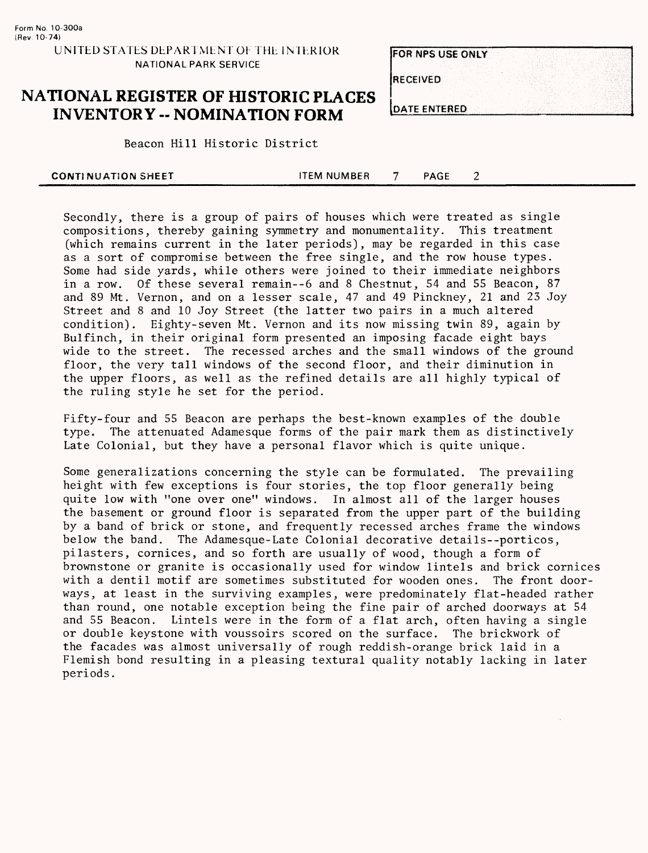#### **NATIONAL REGISTER OF HISTORIC PLACES INVENTORY - NOMINATION FORM**

|                 | <b>FOR NPS USE ONLY</b> |  |
|-----------------|-------------------------|--|
| <b>RECEIVED</b> |                         |  |
|                 | <b>DATE ENTERED</b>     |  |

**Beacon Hill Historic District** 

| <b>CONTINUATION SHEET</b> | ITEM NUMBER | <b>PAGE</b> |  |
|---------------------------|-------------|-------------|--|
|                           |             |             |  |

Secondly, there is a group of pairs of houses which were treated as single compositions, thereby gaining symmetry and monumentality. This treatment (which remains current in the later periods), may be regarded in this case as a sort of compromise between the free single, and the row house types. Some had side yards, while others were joined to their immediate neighbors in a row. Of these several remain--6 and 8 Chestnut, 54 and 55 Beacon, 87 and 89 Mt. Vernon, and on a lesser scale, 47 and 49 Pinckney, 21 and 23 Joy Street and 8 and 10 Joy Street (the latter two pairs in a much altered condition). Eighty-seven Mt. Vernon and its now missing twin 89, again by Bulfinch, in their original form presented an imposing facade eight bays wide to the street. The recessed arches and the small windows of the ground floor, the very tall windows of the second floor, and their diminution in the upper floors, as well as the refined details are all highly typical of the ruling style he set for the period.

Fifty-four and 55 Beacon are perhaps the best-known examples of the double type. The attenuated Adamesque forms of the pair mark them as distinctively Late Colonial, but they have a personal flavor which is quite unique.

Some generalizations concerning the style can be formulated. The prevailing height with few exceptions is four stories, the top floor generally being quite low with "one over one" windows. In almost all of the larger houses the basement or ground floor is separated from the upper part of the building by a band of brick or stone, and frequently recessed arches frame the windows below the band. The Adamesque-Late Colonial decorative details—porticos, pilasters, cornices, and so forth are usually of wood, though a form of brownstone or granite is occasionally used for window lintels and brick cornices with a dentil motif are sometimes substituted for wooden ones. The front doorways, at least in the surviving examples, were predominately flat-headed rather than round, one notable exception being the fine pair of arched doorways at 54 and 55 Beacon. Lintels were in the form of a flat arch, often having a single or double keystone with voussoirs scored on the surface. The brickwork of the facades was almost universally of rough reddish-orange brick laid in a Flemish bond resulting in a pleasing textural quality notably lacking in later periods.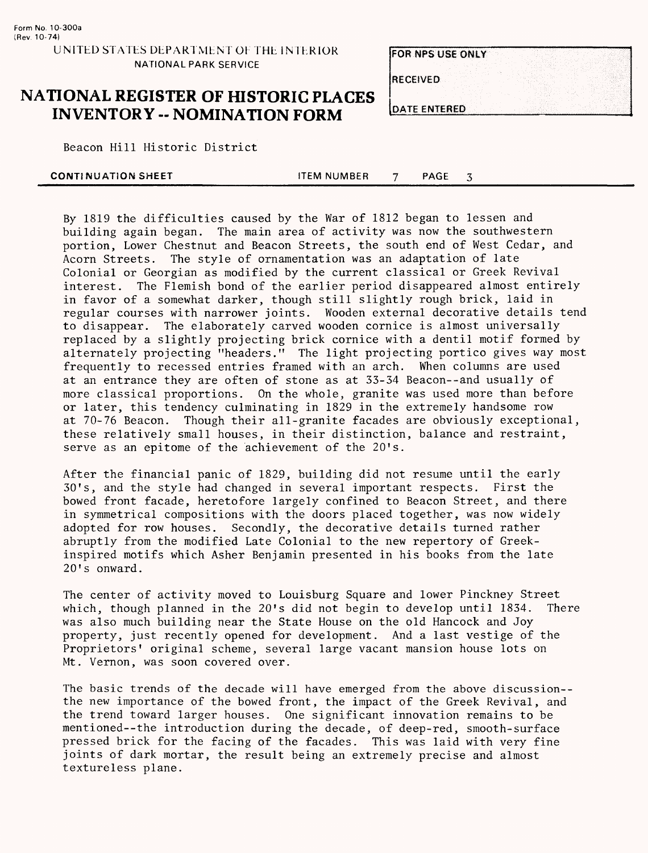|                      | <b>FOR NPS USE ONLY</b> |  |  |  |
|----------------------|-------------------------|--|--|--|
|                      |                         |  |  |  |
| <b>IRECEIVED</b>     |                         |  |  |  |
|                      |                         |  |  |  |
| <b>JOATE ENTERED</b> |                         |  |  |  |

#### **NATIONAL REGISTER OF HISTORIC PLACES INVENTORY - NOMINATION FORM**

Beacon Hill Historic District

| <b>CONTINUATION SHEET</b> | <b>TEM NUMBER</b> | <b>PAGE</b> |  |  |
|---------------------------|-------------------|-------------|--|--|
|                           |                   |             |  |  |

By 1819 the difficulties caused by the War of 1812 began to lessen and building again began. The main area of activity was now the southwestern portion, Lower Chestnut and Beacon Streets, the south end of West Cedar, and Acorn Streets. The style of ornamentation was an adaptation of late Colonial or Georgian as modified by the current classical or Greek Revival interest. The Flemish bond of the earlier period disappeared almost entirely in favor of a somewhat darker, though still slightly rough brick, laid in regular courses with narrower joints. Wooden external decorative details tend to disappear. The elaborately carved wooden cornice is almost universally replaced by a slightly projecting brick cornice with a dentil motif formed by alternately projecting "headers." The light projecting portico gives way most frequently to recessed entries framed with an arch. When columns are used at an entrance they are often of stone as at 33-34 Beacon--and usually of more classical proportions. On the whole, granite was used more than before or later, this tendency culminating in 1829 in the extremely handsome row at 70-76 Beacon. Though their all-granite facades are obviously exceptional, these relatively small houses, in their distinction, balance and restraint, serve as an epitome of the achievement of the 20's.

After the financial panic of 1829, building did not resume until the early 30's, and the style had changed in several important respects. First the bowed front facade, heretofore largely confined to Beacon Street, and there in symmetrical compositions with the doors placed together, was now widely adopted for row houses. Secondly, the decorative details turned rather abruptly from the modified Late Colonial to the new repertory of Greekinspired motifs which Asher Benjamin presented in his books from the late 20's onward.

The center of activity moved to Louisburg Square and lower Pinckney Street which, though planned in the 20's did not begin to develop until 1834. There was also much building near the State House on the old Hancock and Joy property, just recently opened for development. And a last vestige of the Proprietors' original scheme, several large vacant mansion house lots on Mt. Vernon, was soon covered over.

The basic trends of the decade will have emerged from the above discussion- the new importance of the bowed front, the impact of the Greek Revival, and the trend toward larger houses. One significant innovation remains to be mentioned--the introduction during the decade, of deep-red, smooth-surface pressed brick for the facing of the facades. This was laid with very fine joints of dark mortar, the result being an extremely precise and almost textureless plane.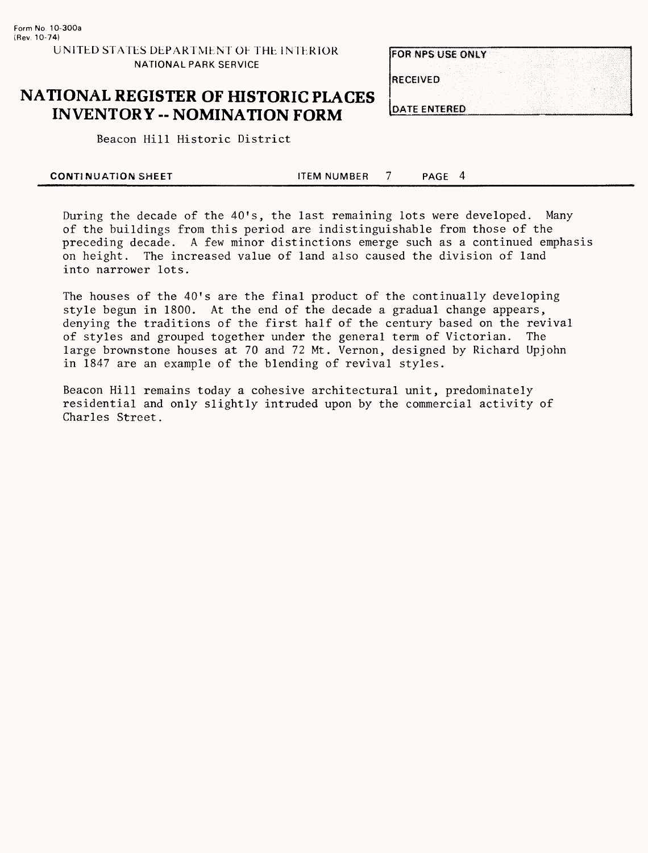**FOR NPS USE ONLY RECEIVED DATE ENTERED** 

## **NATIONAL REGISTER OF HISTORIC PLACES INVENTORY - NOMINATION FORM**

Beacon Hill Historic District

| <b>CONTINUATION SHEET</b> | ITEM NUMBER | <b>PAGE</b> |  |
|---------------------------|-------------|-------------|--|
|                           |             |             |  |

During the decade of the 40's, the last remaining lots were developed. Many of the buildings from this period are indistinguishable from those of the preceding decade. A few minor distinctions emerge such as a continued emphasis on height. The increased value of land also caused the division of land into narrower lots.

The houses of the 40's are the final product of the continually developing style begun in 1800. At the end of the decade a gradual change appears, denying the traditions of the first half of the century based on the revival of styles and grouped together under the general term of Victorian. The large brownstone houses at 70 and 72 Mt. Vernon, designed by Richard Upjohn in 1847 are an example of the blending of revival styles.

Beacon Hill remains today a cohesive architectural unit, predominately residential and only slightly intruded upon by the commercial activity of Charles Street.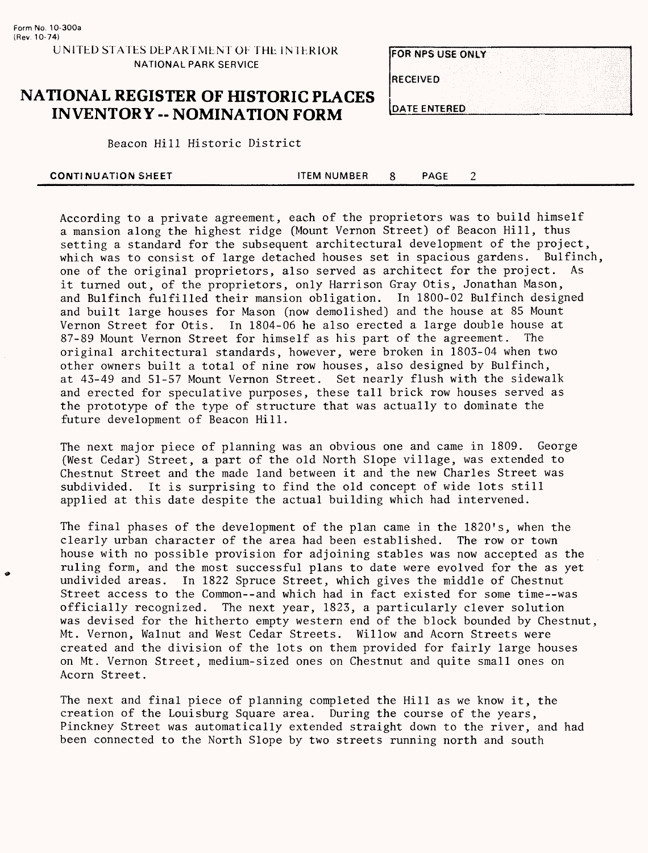| <b>FOR NPS USE ONLY</b> |  |  |  |  |  |
|-------------------------|--|--|--|--|--|
|                         |  |  |  |  |  |
| <b>RECEIVED</b>         |  |  |  |  |  |
|                         |  |  |  |  |  |

#### **NATIONAL REGISTER OF HISTORIC PLACES INVENTORY -- NOMINATION FORM DATE ENTERED**

**Beacon Hill Historic District** 

| <b>CONTINUATION SHEET</b> | <b>TEM NUMBER</b> | PAGE |  |  |
|---------------------------|-------------------|------|--|--|
|                           |                   |      |  |  |

According to a private agreement, each of the proprietors was to build himself a mansion along the highest ridge (Mount Vernon Street) of Beacon Hill, thus setting a standard for the subsequent architectural development of the project, which was to consist of large detached houses set in spacious gardens. Bulfinch, one of the original proprietors, also served as architect for the project. As it turned out, of the proprietors, only Harrison Gray Otis, Jonathan Mason, and Bulfinch fulfilled their mansion obligation. In 1800-02 Bulfinch designed and built large houses for Mason (now demolished) and the house at 85 Mount Vernon Street for Otis. In 1804-06 he also erected a large double house at 87-89 Mount Vernon Street for himself as his part of the agreement. The original architectural standards, however, were broken in 1803-04 when two other owners built a total of nine row houses, also designed by Bulfinch, at 43-49 and 51-57 Mount Vernon Street. Set nearly flush with the sidewalk and erected for speculative purposes, these tall brick row houses served as the prototype of the type of structure that was actually to dominate the future development of Beacon Hill.

The next major piece of planning was an obvious one and came in 1809. George (West Cedar) Street, a part of the old North Slope village, was extended to Chestnut Street and the made land between it and the new Charles Street was subdivided. It is surprising to find the old concept of wide lots still applied at this date despite the actual building which had intervened.

The final phases of the development of the plan came in the 1820's, when the clearly urban character of the area had been established. The row or town house with no possible provision for adjoining stables was now accepted as the ruling form, and the most successful plans to date were evolved for the as yet undivided areas. In 1822 Spruce Street, which gives the middle of Chestnut Street access to the Common--and which had in fact existed for some time—was officially recognized. The next year, 1823, a particularly clever solution was devised for the hitherto empty western end of the block bounded by Chestnut, Mt. Vernon, Walnut and West Cedar Streets. Willow and Acorn Streets were created and the division of the lots on them provided for fairly large houses on Mt. Vernon Street, medium-sized ones on Chestnut and quite small ones on Acorn Street.

The next and final piece of planning completed the Hill as we know it, the creation of the Louisburg Square area. During the course of the years, Pinckney Street was automatically extended straight down to the river, and had been connected to the North Slope by two streets running north and south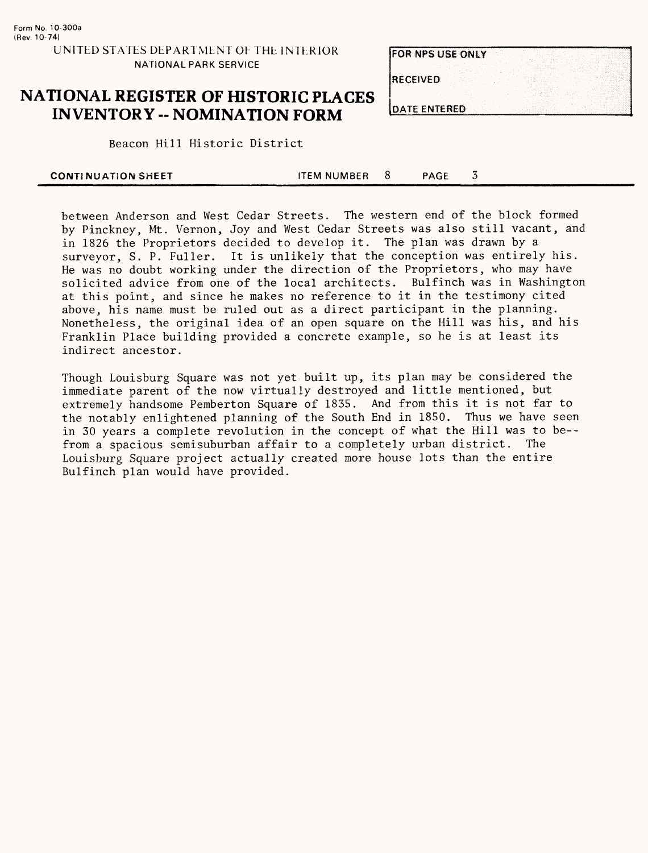# FOR NPS USE ONLY **RECEIVED DATE ENTERED**

### **NATIONAL REGISTER OF HISTORIC PLACES INVENTORY - NOMINATION FORM**

Beacon Hill Historic District

|  | <b>CONTINUATION SHEET</b> | <b>TEM NUMBER</b> |  | PAGE |  |  |  |  |
|--|---------------------------|-------------------|--|------|--|--|--|--|
|--|---------------------------|-------------------|--|------|--|--|--|--|

between Anderson and West Cedar Streets. The western end of the block formed by Pinckney, Mt. Vernon, Joy and West Cedar Streets was also still vacant, and in 1826 the Proprietors decided to develop it. The plan was drawn by a surveyor, S. P. Fuller. It is unlikely that the conception was entirely his. He was no doubt working under the direction of the Proprietors, who may have solicited advice from one of the local architects. Bulfinch was in Washington at this point, and since he makes no reference to it in the testimony cited above, his name must be ruled out as a direct participant in the planning. Nonetheless, the original idea of an open square on the Hill was his, and his Franklin Place building provided a concrete example, so he is at least its indirect ancestor.

Though Louisburg Square was not yet built up, its plan may be considered the immediate parent of the now virtually destroyed and little mentioned, but extremely handsome Pemberton Square of 1835. And from this it is not far to the notably enlightened planning of the South End in 1850. Thus we have seen in 30 years a complete revolution in the concept of what the Hill was to be- from a spacious semisuburban affair to a completely urban district. The Louisburg Square project actually created more house lots than the entire Bulfinch plan would have provided.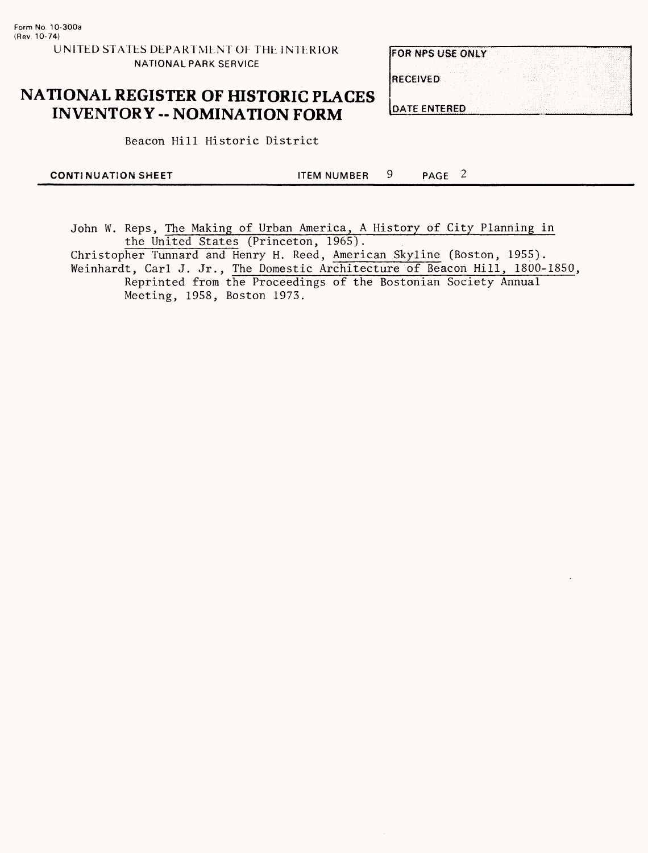## **NATIONAL REGISTER OF HISTORIC PLACES INVENTORY -- NOMINATION FORM**

**Beacon Hill Historic District** 

| <b>CONTINUATION SHEET</b> | <b>ITEM NUMBER</b> | PAGE |  |
|---------------------------|--------------------|------|--|
|                           |                    |      |  |

John W. Reps, The Making of Urban America, A History of City Planning in the United States (Princeton, 1965).

Christopher Tunnard and Henry H. Reed, American Skyline (Boston, 1955). Weinhardt, Carl J. Jr., The Domestic Architecture of Beacon Hill, 1800-1850, Reprinted from the Proceedings of the Bostonian Society Annual

Meeting, 1958, Boston 1973.

**RECEIVED** 

**DATE ENTERED** 

FOR NPS USE ONLY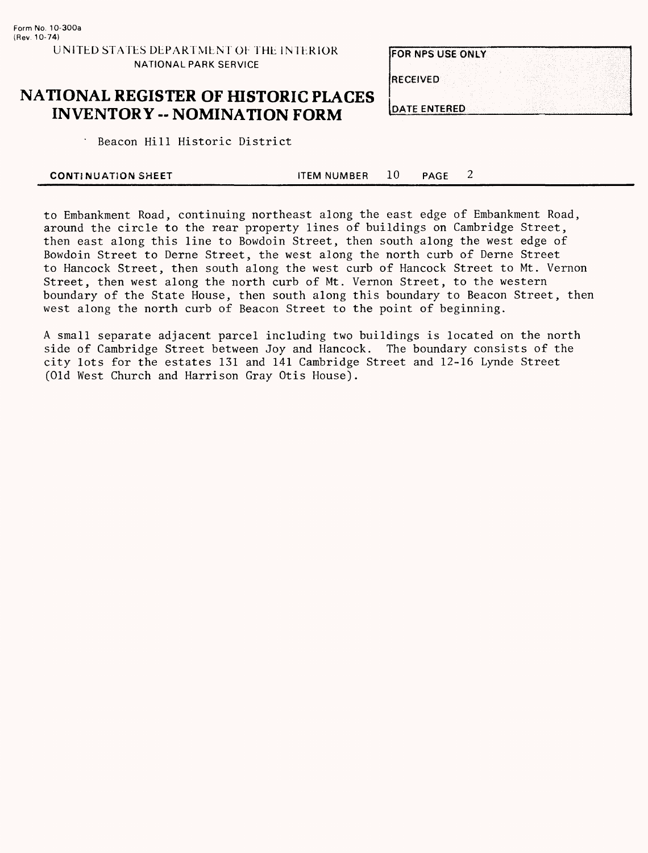## **NATIONAL REGISTER OF HISTORIC PLACES INVENTORY - NOMINATION FORM**

**FOR NPS USE ONLY RECEIVED DATE ENTERED** 

" Beacon Hill Historic District

| <b>CONTINUATION SHEET</b> | <b>ITEM NUMBER</b> | <b>PAGE</b> |  |
|---------------------------|--------------------|-------------|--|
|                           |                    |             |  |

to Embankment Road, continuing northeast along the east edge of Embankment Road, around the circle to the rear property lines of buildings on Cambridge Street, then east along this line to Bowdoin Street, then south along the west edge of Bowdoin Street to Derne Street, the west along the north curb of Derne Street to Hancock Street, then south along the west curb of Hancock Street to Mt. Vernon Street, then west along the north curb of Mt. Vernon Street, to the western boundary of the State House, then south along this boundary to Beacon Street, then west along the north curb of Beacon Street to the point of beginning.

A small separate adjacent parcel including two buildings is located on the north side of Cambridge Street between Joy and Hancock. The boundary consists of the city lots for the estates 131 and 141 Cambridge Street and 12-16 Lynde Street (Old West Church and Harrison Gray Otis House).